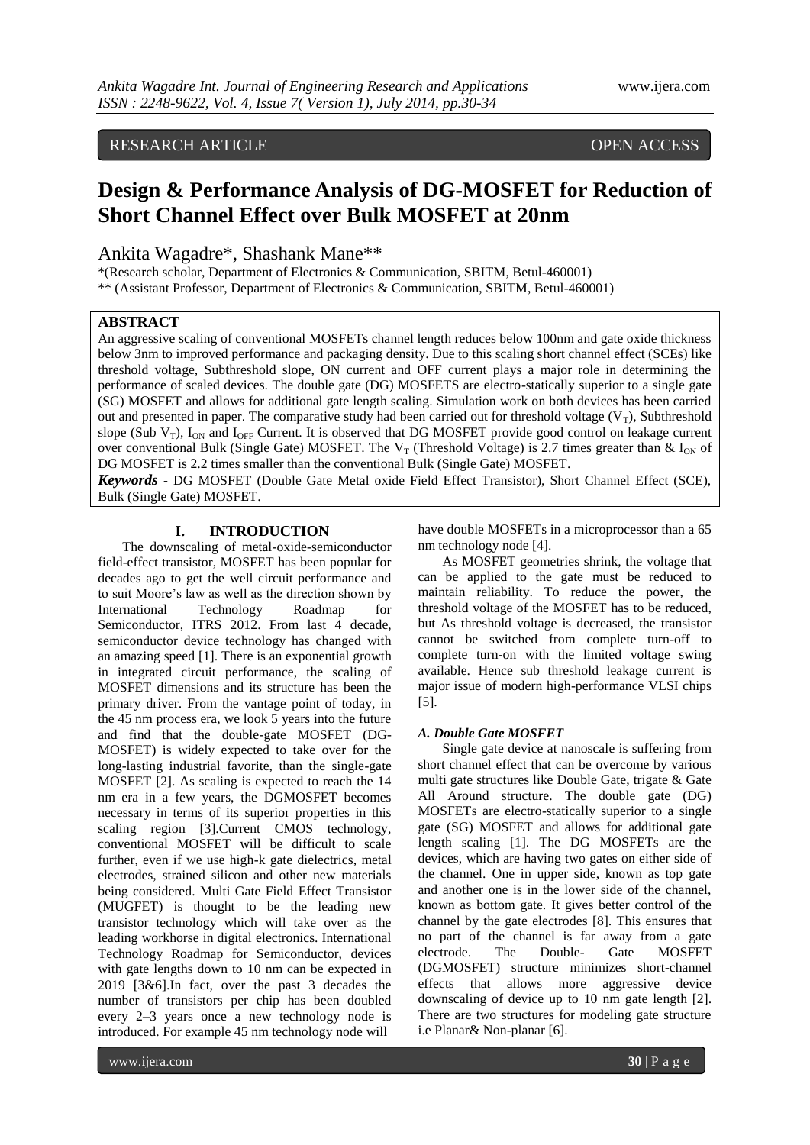# RESEARCH ARTICLE OPEN ACCESS

# **Design & Performance Analysis of DG-MOSFET for Reduction of Short Channel Effect over Bulk MOSFET at 20nm**

# Ankita Wagadre\*, Shashank Mane\*\*

\*(Research scholar, Department of Electronics & Communication, SBITM, Betul-460001) \*\* (Assistant Professor, Department of Electronics & Communication, SBITM, Betul-460001)

# **ABSTRACT**

An aggressive scaling of conventional MOSFETs channel length reduces below 100nm and gate oxide thickness below 3nm to improved performance and packaging density. Due to this scaling short channel effect (SCEs) like threshold voltage, Subthreshold slope, ON current and OFF current plays a major role in determining the performance of scaled devices. The double gate (DG) MOSFETS are electro-statically superior to a single gate (SG) MOSFET and allows for additional gate length scaling. Simulation work on both devices has been carried out and presented in paper. The comparative study had been carried out for threshold voltage  $(V_T)$ , Subthreshold slope (Sub  $V_T$ ),  $I_{ON}$  and  $I_{OFF}$  Current. It is observed that DG MOSFET provide good control on leakage current over conventional Bulk (Single Gate) MOSFET. The V<sub>T</sub> (Threshold Voltage) is 2.7 times greater than & I<sub>ON</sub> of DG MOSFET is 2.2 times smaller than the conventional Bulk (Single Gate) MOSFET.

*Keywords* **-** DG MOSFET (Double Gate Metal oxide Field Effect Transistor), Short Channel Effect (SCE), Bulk (Single Gate) MOSFET.

# **I. INTRODUCTION**

The downscaling of metal-oxide-semiconductor field-effect transistor, MOSFET has been popular for decades ago to get the well circuit performance and to suit Moore"s law as well as the direction shown by International Technology Roadmap for Semiconductor, ITRS 2012. From last 4 decade, semiconductor device technology has changed with an amazing speed [1]. There is an exponential growth in integrated circuit performance, the scaling of MOSFET dimensions and its structure has been the primary driver. From the vantage point of today, in the 45 nm process era, we look 5 years into the future and find that the double-gate MOSFET (DG-MOSFET) is widely expected to take over for the long-lasting industrial favorite, than the single-gate MOSFET [2]. As scaling is expected to reach the 14 nm era in a few years, the DGMOSFET becomes necessary in terms of its superior properties in this scaling region [3].Current CMOS technology, conventional MOSFET will be difficult to scale further, even if we use high-k gate dielectrics, metal electrodes, strained silicon and other new materials being considered. Multi Gate Field Effect Transistor (MUGFET) is thought to be the leading new transistor technology which will take over as the leading workhorse in digital electronics. International Technology Roadmap for Semiconductor, devices with gate lengths down to 10 nm can be expected in 2019 [3&6].In fact, over the past 3 decades the number of transistors per chip has been doubled every 2–3 years once a new technology node is introduced. For example 45 nm technology node will

have double MOSFETs in a microprocessor than a 65 nm technology node [4].

As MOSFET geometries shrink, the voltage that can be applied to the gate must be reduced to maintain reliability. To reduce the power, the threshold voltage of the MOSFET has to be reduced, but As threshold voltage is decreased, the transistor cannot be switched from complete turn-off to complete turn-on with the limited voltage swing available. Hence sub threshold leakage current is major issue of modern high-performance VLSI chips [5].

#### *A. Double Gate MOSFET*

Single gate device at nanoscale is suffering from short channel effect that can be overcome by various multi gate structures like Double Gate, trigate & Gate All Around structure. The double gate (DG) MOSFETs are electro-statically superior to a single gate (SG) MOSFET and allows for additional gate length scaling [1]. The DG MOSFETs are the devices, which are having two gates on either side of the channel. One in upper side, known as top gate and another one is in the lower side of the channel, known as bottom gate. It gives better control of the channel by the gate electrodes [8]. This ensures that no part of the channel is far away from a gate electrode. The Double- Gate MOSFET (DGMOSFET) structure minimizes short-channel effects that allows more aggressive device downscaling of device up to 10 nm gate length [2]. There are two structures for modeling gate structure i.e Planar& Non-planar [6].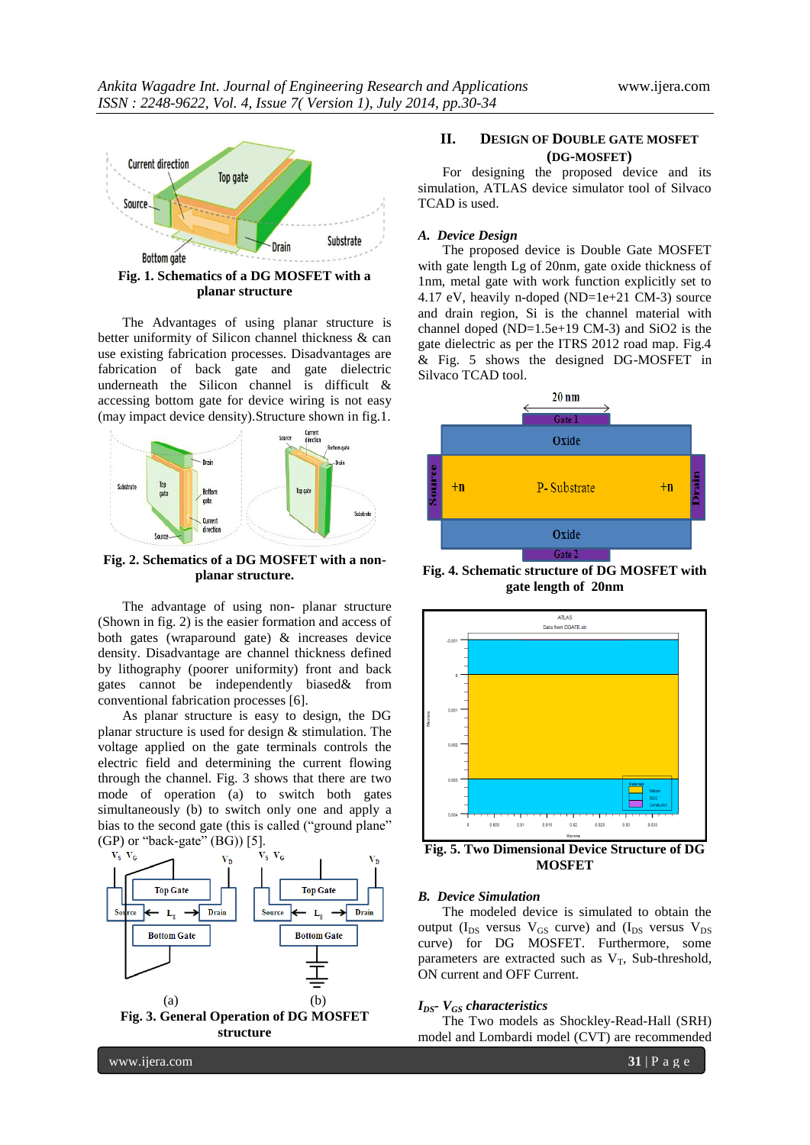

The Advantages of using planar structure is better uniformity of Silicon channel thickness & can use existing fabrication processes. Disadvantages are fabrication of back gate and gate dielectric underneath the Silicon channel is difficult & accessing bottom gate for device wiring is not easy (may impact device density).Structure shown in fig.1.



#### **Fig. 2. Schematics of a DG MOSFET with a nonplanar structure.**

The advantage of using non- planar structure (Shown in fig. 2) is the easier formation and access of both gates (wraparound gate) & increases device density. Disadvantage are channel thickness defined by lithography (poorer uniformity) front and back gates cannot be independently biased& from conventional fabrication processes [6].

As planar structure is easy to design, the DG planar structure is used for design & stimulation. The voltage applied on the gate terminals controls the electric field and determining the current flowing through the channel. Fig. 3 shows that there are two mode of operation (a) to switch both gates simultaneously (b) to switch only one and apply a bias to the second gate (this is called ("ground plane"



# **II. DESIGN OF DOUBLE GATE MOSFET (DG-MOSFET)**

For designing the proposed device and its simulation, ATLAS device simulator tool of Silvaco TCAD is used.

#### *A. Device Design*

The proposed device is Double Gate MOSFET with gate length Lg of 20nm, gate oxide thickness of 1nm, metal gate with work function explicitly set to 4.17 eV, heavily n-doped (ND=1e+21 CM-3) source and drain region, Si is the channel material with channel doped (ND=1.5e+19 CM-3) and SiO2 is the gate dielectric as per the ITRS 2012 road map. Fig.4 & Fig. 5 shows the designed DG-MOSFET in Silvaco TCAD tool.



**Fig. 4. Schematic structure of DG MOSFET with gate length of 20nm**



**Fig. 5. Two Dimensional Device Structure of DG MOSFET**

#### *B. Device Simulation*

The modeled device is simulated to obtain the output ( $I_{DS}$  versus  $V_{GS}$  curve) and ( $I_{DS}$  versus  $V_{DS}$ curve) for DG MOSFET. Furthermore, some parameters are extracted such as  $V_T$ , Sub-threshold, ON current and OFF Current.

#### *IDS- VGS characteristics*

The Two models as Shockley-Read-Hall (SRH) model and Lombardi model (CVT) are recommended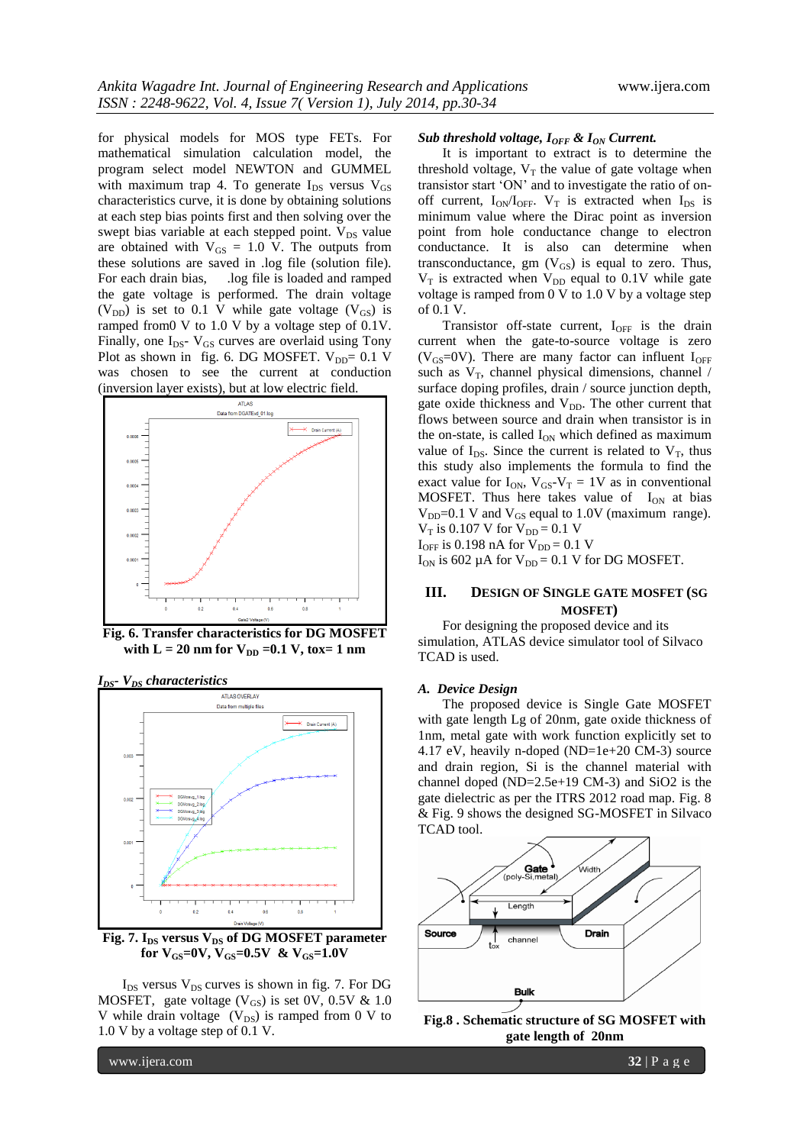for physical models for MOS type FETs. For mathematical simulation calculation model, the program select model NEWTON and GUMMEL with maximum trap 4. To generate  $I_{DS}$  versus  $V_{GS}$ characteristics curve, it is done by obtaining solutions at each step bias points first and then solving over the swept bias variable at each stepped point.  $V_{DS}$  value are obtained with  $V_{GS} = 1.0$  V. The outputs from these solutions are saved in .log file (solution file). For each drain bias, ... log file is loaded and ramped the gate voltage is performed. The drain voltage  $(V_{DD})$  is set to 0.1 V while gate voltage  $(V_{GS})$  is ramped from0 V to 1.0 V by a voltage step of 0.1V. Finally, one  $I_{DS}$ -  $V_{GS}$  curves are overlaid using Tony Plot as shown in fig. 6. DG MOSFET.  $V_{DD} = 0.1$  V was chosen to see the current at conduction (inversion layer exists), but at low electric field.



**Fig. 6. Transfer characteristics for DG MOSFET**  with  $L = 20$  nm for  $V_{DD} = 0.1$  V, tox= 1 nm



Fig. 7. I<sub>DS</sub> versus V<sub>DS</sub> of DG MOSFET parameter **for**  $V_{GS}$ **=0V,**  $V_{GS}$ **=0.5V &**  $V_{GS}$ **=1.0V** 

 $I_{DS}$  versus  $V_{DS}$  curves is shown in fig. 7. For DG MOSFET, gate voltage  $(V_{GS})$  is set 0V, 0.5V & 1.0 V while drain voltage  $(V_{DS})$  is ramped from 0 V to 1.0 V by a voltage step of 0.1 V.

#### *Sub threshold voltage, IOFF & ION Current.*

It is important to extract is to determine the threshold voltage,  $V_T$  the value of gate voltage when transistor start "ON" and to investigate the ratio of onoff current,  $I_{ON}/I_{OFF}$ .  $V_T$  is extracted when  $I_{DS}$  is minimum value where the Dirac point as inversion point from hole conductance change to electron conductance. It is also can determine when transconductance, gm  $(V_{GS})$  is equal to zero. Thus,  $V_T$  is extracted when  $V_{DD}$  equal to 0.1V while gate voltage is ramped from 0 V to 1.0 V by a voltage step of 0.1 V.

Transistor off-state current,  $I_{\text{OFF}}$  is the drain current when the gate-to-source voltage is zero ( $V_{GS}=0$ V). There are many factor can influent  $I_{OFF}$ such as  $V_T$ , channel physical dimensions, channel / surface doping profiles, drain / source junction depth, gate oxide thickness and  $V_{DD}$ . The other current that flows between source and drain when transistor is in the on-state, is called  $I_{ON}$  which defined as maximum value of  $I_{DS}$ . Since the current is related to  $V_T$ , thus this study also implements the formula to find the exact value for  $I_{ON}$ ,  $V_{GS}-V_T = 1V$  as in conventional MOSFET. Thus here takes value of  $I_{ON}$  at bias  $V_{DD}$ =0.1 V and  $V_{GS}$  equal to 1.0V (maximum range).  $V_T$  is 0.107 V for  $V_{DD} = 0.1$  V  $I_{OFF}$  is 0.198 nA for  $V_{DD} = 0.1$  V

 $I_{ON}$  is 602 µA for  $V_{DD} = 0.1$  V for DG MOSFET.

## **III. DESIGN OF SINGLE GATE MOSFET (SG MOSFET)**

For designing the proposed device and its simulation, ATLAS device simulator tool of Silvaco TCAD is used.

#### *A. Device Design*

The proposed device is Single Gate MOSFET with gate length Lg of 20nm, gate oxide thickness of 1nm, metal gate with work function explicitly set to 4.17 eV, heavily n-doped (ND=1e+20 CM-3) source and drain region, Si is the channel material with channel doped (ND=2.5e+19 CM-3) and SiO2 is the gate dielectric as per the ITRS 2012 road map. Fig. 8 & Fig. 9 shows the designed SG-MOSFET in Silvaco TCAD tool.



**Fig.8 . Schematic structure of SG MOSFET with gate length of 20nm**

www.ijera.com **32** | P a g e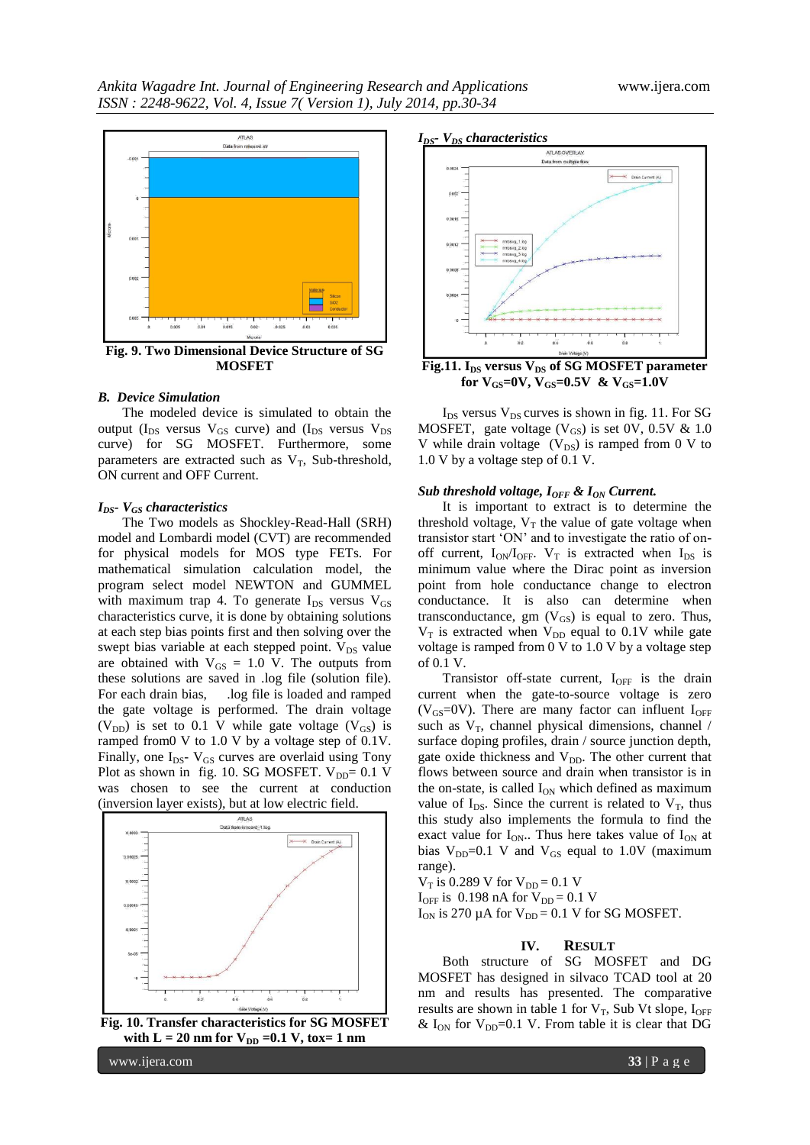

**Fig. 9. Two Dimensional Device Structure of SG MOSFET**

#### *B. Device Simulation*

The modeled device is simulated to obtain the output ( $I_{DS}$  versus  $V_{GS}$  curve) and ( $I_{DS}$  versus  $V_{DS}$ curve) for SG MOSFET. Furthermore, some parameters are extracted such as  $V_T$ , Sub-threshold, ON current and OFF Current.

#### *IDS- VGS characteristics*

The Two models as Shockley-Read-Hall (SRH) model and Lombardi model (CVT) are recommended for physical models for MOS type FETs. For mathematical simulation calculation model, the program select model NEWTON and GUMMEL with maximum trap 4. To generate  $I_{DS}$  versus  $V_{GS}$ characteristics curve, it is done by obtaining solutions at each step bias points first and then solving over the swept bias variable at each stepped point.  $V_{DS}$  value are obtained with  $V_{GS} = 1.0$  V. The outputs from these solutions are saved in .log file (solution file). For each drain bias, .log file is loaded and ramped the gate voltage is performed. The drain voltage (V<sub>DD</sub>) is set to 0.1 V while gate voltage (V<sub>GS</sub>) is ramped from0 V to 1.0 V by a voltage step of 0.1V. Finally, one  $I_{DS}$ -  $V_{GS}$  curves are overlaid using Tony Plot as shown in fig. 10. SG MOSFET.  $V_{DD} = 0.1$  V was chosen to see the current at conduction (inversion layer exists), but at low electric field.



**Fig. 10. Transfer characteristics for SG MOSFET**  with  $L = 20$  nm for  $V_{DD} = 0.1$  V, tox= 1 nm





**Fig.11. IDS versus VDS of SG MOSFET parameter for VGS=0V, VGS=0.5V & VGS=1.0V**

 $I_{DS}$  versus  $V_{DS}$  curves is shown in fig. 11. For SG MOSFET, gate voltage  $(V_{GS})$  is set 0V, 0.5V & 1.0 V while drain voltage  $(V_{DS})$  is ramped from 0 V to 1.0 V by a voltage step of 0.1 V.

#### *Sub threshold voltage, I<sub>OFF</sub> & I<sub>ON</sub> Current.*

It is important to extract is to determine the threshold voltage,  $V_T$  the value of gate voltage when transistor start "ON" and to investigate the ratio of onoff current,  $I_{ON}/I_{OFF}$ . V<sub>T</sub> is extracted when  $I_{DS}$  is minimum value where the Dirac point as inversion point from hole conductance change to electron conductance. It is also can determine when transconductance, gm  $(V_{GS})$  is equal to zero. Thus,  $V_T$  is extracted when  $V_{DD}$  equal to 0.1V while gate voltage is ramped from 0 V to 1.0 V by a voltage step of 0.1 V.

Transistor off-state current,  $I_{OFF}$  is the drain current when the gate-to-source voltage is zero ( $V_{GS}$ =0V). There are many factor can influent  $I_{OFF}$ such as  $V_T$ , channel physical dimensions, channel / surface doping profiles, drain / source junction depth, gate oxide thickness and  $V_{DD}$ . The other current that flows between source and drain when transistor is in the on-state, is called  $I_{ON}$  which defined as maximum value of  $I_{DS}$ . Since the current is related to  $V_T$ , thus this study also implements the formula to find the exact value for  $I_{ON}$ . Thus here takes value of  $I_{ON}$  at bias  $V_{DD}=0.1$  V and  $V_{GS}$  equal to 1.0V (maximum range).

 $V_T$  is 0.289 V for  $V_{DD} = 0.1$  V

 $I_{OFF}$  is 0.198 nA for  $V_{DD} = 0.1$  V

 $I_{ON}$  is 270 µA for  $V_{DD} = 0.1$  V for SG MOSFET.

#### **IV. RESULT**

Both structure of SG MOSFET and DG MOSFET has designed in silvaco TCAD tool at 20 nm and results has presented. The comparative results are shown in table 1 for  $V_T$ , Sub Vt slope,  $I_{OFF}$ &  $I_{ON}$  for  $V_{DD}=0.1$  V. From table it is clear that DG